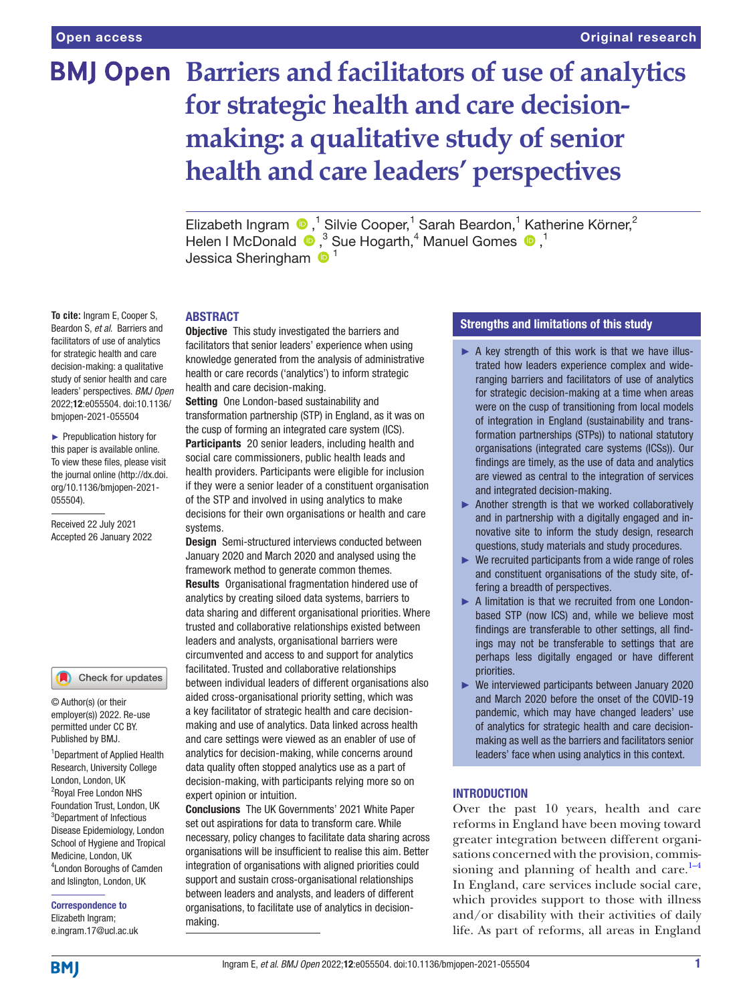# **BMJ Open Barriers and facilitators of use of analytics for strategic health and care decisionmaking: a qualitative study of senior health and care leaders' perspectives**

ElizabethIngram  $\bigcirc$ ,<sup>1</sup> Silvie Cooper,<sup>1</sup> Sarah Beardon,<sup>1</sup> Katherine Körner,<sup>2</sup> HelenI McDonald  $\bullet$ ,<sup>3</sup> Sue Hogarth,<sup>4</sup> Manuel Gomes  $\bullet$ ,<sup>1</sup> Jessica Sheringham  $\mathbf{0}^1$ 

# ABSTRACT

**Objective** This study investigated the barriers and facilitators that senior leaders' experience when using knowledge generated from the analysis of administrative health or care records ('analytics') to inform strategic health and care decision-making.

Setting One London-based sustainability and transformation partnership (STP) in England, as it was on the cusp of forming an integrated care system (ICS). Participants 20 senior leaders, including health and social care commissioners, public health leads and health providers. Participants were eligible for inclusion if they were a senior leader of a constituent organisation

of the STP and involved in using analytics to make decisions for their own organisations or health and care systems.

Design Semi-structured interviews conducted between January 2020 and March 2020 and analysed using the framework method to generate common themes. Results Organisational fragmentation hindered use of analytics by creating siloed data systems, barriers to data sharing and different organisational priorities. Where trusted and collaborative relationships existed between leaders and analysts, organisational barriers were circumvented and access to and support for analytics facilitated. Trusted and collaborative relationships between individual leaders of different organisations also aided cross-organisational priority setting, which was a key facilitator of strategic health and care decisionmaking and use of analytics. Data linked across health and care settings were viewed as an enabler of use of analytics for decision-making, while concerns around data quality often stopped analytics use as a part of decision-making, with participants relying more so on expert opinion or intuition.

Conclusions The UK Governments' 2021 White Paper set out aspirations for data to transform care. While necessary, policy changes to facilitate data sharing across organisations will be insufficient to realise this aim. Better integration of organisations with aligned priorities could support and sustain cross-organisational relationships between leaders and analysts, and leaders of different organisations, to facilitate use of analytics in decisionmaking.

# Strengths and limitations of this study

- $\triangleright$  A key strength of this work is that we have illustrated how leaders experience complex and wideranging barriers and facilitators of use of analytics for strategic decision-making at a time when areas were on the cusp of transitioning from local models of integration in England (sustainability and transformation partnerships (STPs)) to national statutory organisations (integrated care systems (ICSs)). Our findings are timely, as the use of data and analytics are viewed as central to the integration of services and integrated decision-making.
- ► Another strength is that we worked collaboratively and in partnership with a digitally engaged and innovative site to inform the study design, research questions, study materials and study procedures.
- ► We recruited participants from a wide range of roles and constituent organisations of the study site, offering a breadth of perspectives.
- ► A limitation is that we recruited from one Londonbased STP (now ICS) and, while we believe most findings are transferable to other settings, all findings may not be transferable to settings that are perhaps less digitally engaged or have different priorities.
- ► We interviewed participants between January 2020 and March 2020 before the onset of the COVID-19 pandemic, which may have changed leaders' use of analytics for strategic health and care decisionmaking as well as the barriers and facilitators senior leaders' face when using analytics in this context.

# INTRODUCTION

Over the past 10 years, health and care reforms in England have been moving toward greater integration between different organisations concerned with the provision, commissioning and planning of health and care. $1-4$ In England, care services include social care, which provides support to those with illness and/or disability with their activities of daily life. As part of reforms, all areas in England

**To cite:** Ingram E, Cooper S, Beardon S, *et al*. Barriers and facilitators of use of analytics for strategic health and care decision-making: a qualitative study of senior health and care leaders' perspectives. *BMJ Open* 2022;12:e055504. doi:10.1136/ bmjopen-2021-055504

► Prepublication history for this paper is available online. To view these files, please visit the journal online [\(http://dx.doi.](http://dx.doi.org/10.1136/bmjopen-2021-055504) [org/10.1136/bmjopen-2021-](http://dx.doi.org/10.1136/bmjopen-2021-055504) [055504\)](http://dx.doi.org/10.1136/bmjopen-2021-055504).

Received 22 July 2021 Accepted 26 January 2022

#### Check for updates

© Author(s) (or their employer(s)) 2022. Re-use permitted under CC BY. Published by BMJ.

1 Department of Applied Health Research, University College London, London, UK 2 Royal Free London NHS Foundation Trust, London, UK 3 Department of Infectious Disease Epidemiology, London School of Hygiene and Tropical Medicine, London, UK 4 London Boroughs of Camden and Islington, London, UK

Correspondence to Elizabeth Ingram; e.ingram.17@ucl.ac.uk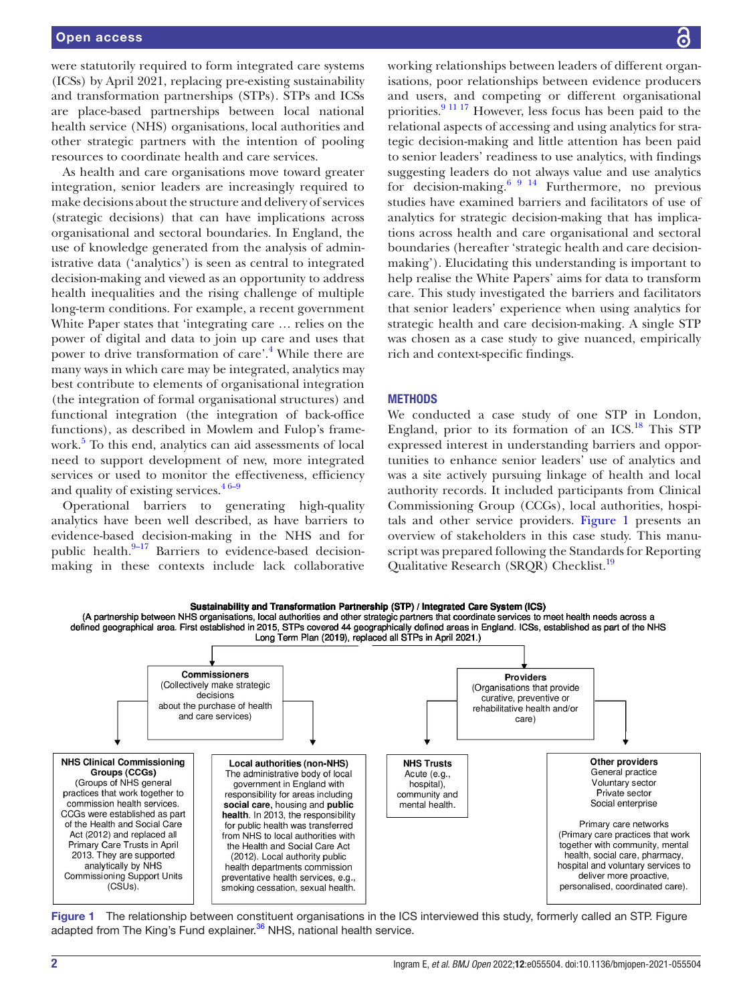were statutorily required to form integrated care systems (ICSs) by April 2021, replacing pre-existing sustainability and transformation partnerships (STPs). STPs and ICSs are place-based partnerships between local national health service (NHS) organisations, local authorities and other strategic partners with the intention of pooling resources to coordinate health and care services.

As health and care organisations move toward greater integration, senior leaders are increasingly required to make decisions about the structure and delivery of services (strategic decisions) that can have implications across organisational and sectoral boundaries. In England, the use of knowledge generated from the analysis of administrative data ('analytics') is seen as central to integrated decision-making and viewed as an opportunity to address health inequalities and the rising challenge of multiple long-term conditions. For example, a recent government White Paper states that 'integrating care … relies on the power of digital and data to join up care and uses that power to drive transformation of care'.<sup>4</sup> While there are many ways in which care may be integrated, analytics may best contribute to elements of organisational integration (the integration of formal organisational structures) and functional integration (the integration of back-office functions), as described in Mowlem and Fulop's frame-work.<sup>[5](#page-7-2)</sup> To this end, analytics can aid assessments of local need to support development of new, more integrated services or used to monitor the effectiveness, efficiency and quality of existing services. $46-9$ 

Operational barriers to generating high-quality analytics have been well described, as have barriers to evidence-based decision-making in the NHS and for public health. $9-17$  Barriers to evidence-based decisionmaking in these contexts include lack collaborative

working relationships between leaders of different organisations, poor relationships between evidence producers and users, and competing or different organisational priorities[.9 11 17](#page-7-3) However, less focus has been paid to the relational aspects of accessing and using analytics for strategic decision-making and little attention has been paid to senior leaders' readiness to use analytics, with findings suggesting leaders do not always value and use analytics for decision-making.<sup>6 9 14</sup> Furthermore, no previous studies have examined barriers and facilitators of use of analytics for strategic decision-making that has implications across health and care organisational and sectoral boundaries (hereafter 'strategic health and care decisionmaking'). Elucidating this understanding is important to help realise the White Papers' aims for data to transform care. This study investigated the barriers and facilitators that senior leaders' experience when using analytics for strategic health and care decision-making. A single STP was chosen as a case study to give nuanced, empirically rich and context-specific findings.

## **METHODS**

We conducted a case study of one STP in London, England, prior to its formation of an ICS.<sup>18</sup> This STP expressed interest in understanding barriers and opportunities to enhance senior leaders' use of analytics and was a site actively pursuing linkage of health and local authority records. It included participants from Clinical Commissioning Group (CCGs), local authorities, hospitals and other service providers. [Figure](#page-1-0) 1 presents an overview of stakeholders in this case study. This manuscript was prepared following the Standards for Reporting Qualitative Research (SRQR) Checklist.<sup>19</sup>



<span id="page-1-0"></span>Figure 1 The relationship between constituent organisations in the ICS interviewed this study, formerly called an STP. Figure adapted from The King's Fund explainer.<sup>36</sup> NHS, national health service.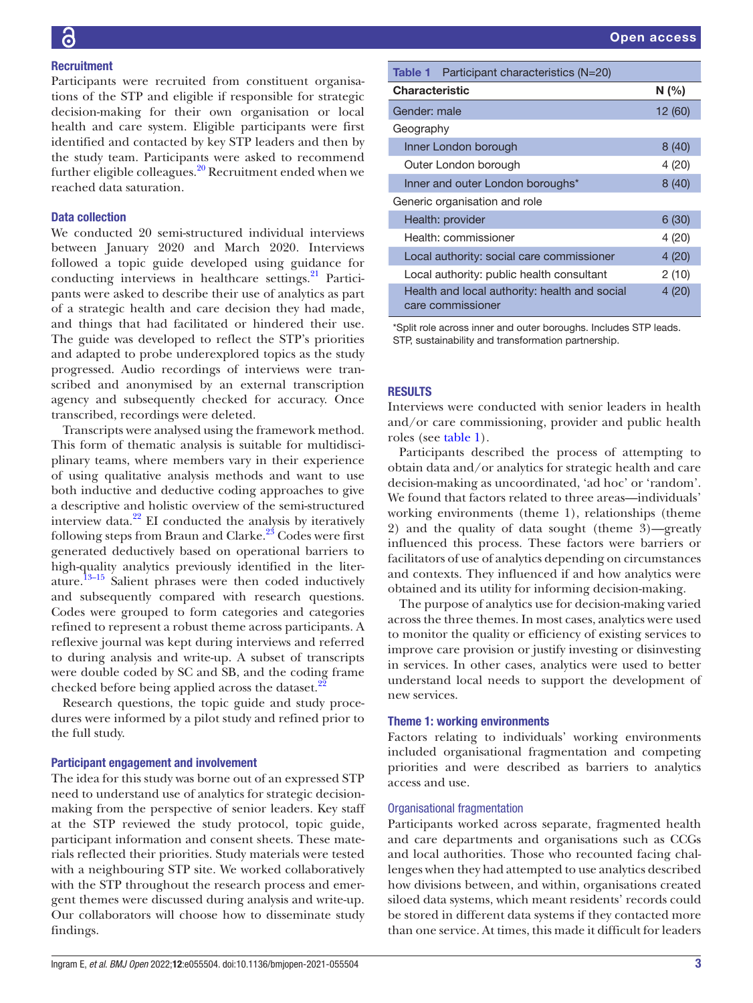# **Recruitment**

Participants were recruited from constituent organisations of the STP and eligible if responsible for strategic decision-making for their own organisation or local health and care system. Eligible participants were first identified and contacted by key STP leaders and then by the study team. Participants were asked to recommend further eligible colleagues.<sup>20</sup> Recruitment ended when we reached data saturation.

# Data collection

We conducted 20 semi-structured individual interviews between January 2020 and March 2020. Interviews followed a topic guide developed using guidance for conducting interviews in healthcare settings. $^{21}$  $^{21}$  $^{21}$  Participants were asked to describe their use of analytics as part of a strategic health and care decision they had made, and things that had facilitated or hindered their use. The guide was developed to reflect the STP's priorities and adapted to probe underexplored topics as the study progressed. Audio recordings of interviews were transcribed and anonymised by an external transcription agency and subsequently checked for accuracy. Once transcribed, recordings were deleted.

Transcripts were analysed using the framework method. This form of thematic analysis is suitable for multidisciplinary teams, where members vary in their experience of using qualitative analysis methods and want to use both inductive and deductive coding approaches to give a descriptive and holistic overview of the semi-structured interview data. $^{22}$  EI conducted the analysis by iteratively following steps from Braun and Clarke. $2<sup>3</sup>$  Codes were first generated deductively based on operational barriers to high-quality analytics previously identified in the literature.[13–15](#page-7-12) Salient phrases were then coded inductively and subsequently compared with research questions. Codes were grouped to form categories and categories refined to represent a robust theme across participants. A reflexive journal was kept during interviews and referred to during analysis and write-up. A subset of transcripts were double coded by SC and SB, and the coding frame checked before being applied across the dataset. $^{22}$ 

Research questions, the topic guide and study procedures were informed by a pilot study and refined prior to the full study.

### Participant engagement and involvement

The idea for this study was borne out of an expressed STP need to understand use of analytics for strategic decisionmaking from the perspective of senior leaders. Key staff at the STP reviewed the study protocol, topic guide, participant information and consent sheets. These materials reflected their priorities. Study materials were tested with a neighbouring STP site. We worked collaboratively with the STP throughout the research process and emergent themes were discussed during analysis and write-up. Our collaborators will choose how to disseminate study findings.

<span id="page-2-0"></span>

| Participant characteristics (N=20)<br>Table 1                      |        |
|--------------------------------------------------------------------|--------|
| <b>Characteristic</b>                                              | N(%)   |
| Gender: male                                                       | 12(60) |
| Geography                                                          |        |
| Inner London borough                                               | 8(40)  |
| Outer London borough                                               | 4 (20) |
| Inner and outer London boroughs*                                   | 8(40)  |
| Generic organisation and role                                      |        |
| Health: provider                                                   | 6(30)  |
| Health: commissioner                                               | 4 (20) |
| Local authority: social care commissioner                          | 4(20)  |
| Local authority: public health consultant                          | 2(10)  |
| Health and local authority: health and social<br>care commissioner | 4(20)  |

\*Split role across inner and outer boroughs. Includes STP leads. STP, sustainability and transformation partnership.

# **RESULTS**

Interviews were conducted with senior leaders in health and/or care commissioning, provider and public health roles (see [table](#page-2-0) 1).

Participants described the process of attempting to obtain data and/or analytics for strategic health and care decision-making as uncoordinated, 'ad hoc' or 'random'. We found that factors related to three areas—individuals' working environments (theme 1), relationships (theme 2) and the quality of data sought (theme 3)—greatly influenced this process. These factors were barriers or facilitators of use of analytics depending on circumstances and contexts. They influenced if and how analytics were obtained and its utility for informing decision-making.

The purpose of analytics use for decision-making varied across the three themes. In most cases, analytics were used to monitor the quality or efficiency of existing services to improve care provision or justify investing or disinvesting in services. In other cases, analytics were used to better understand local needs to support the development of new services.

#### Theme 1: working environments

Factors relating to individuals' working environments included organisational fragmentation and competing priorities and were described as barriers to analytics access and use.

# Organisational fragmentation

Participants worked across separate, fragmented health and care departments and organisations such as CCGs and local authorities. Those who recounted facing challenges when they had attempted to use analytics described how divisions between, and within, organisations created siloed data systems, which meant residents' records could be stored in different data systems if they contacted more than one service. At times, this made it difficult for leaders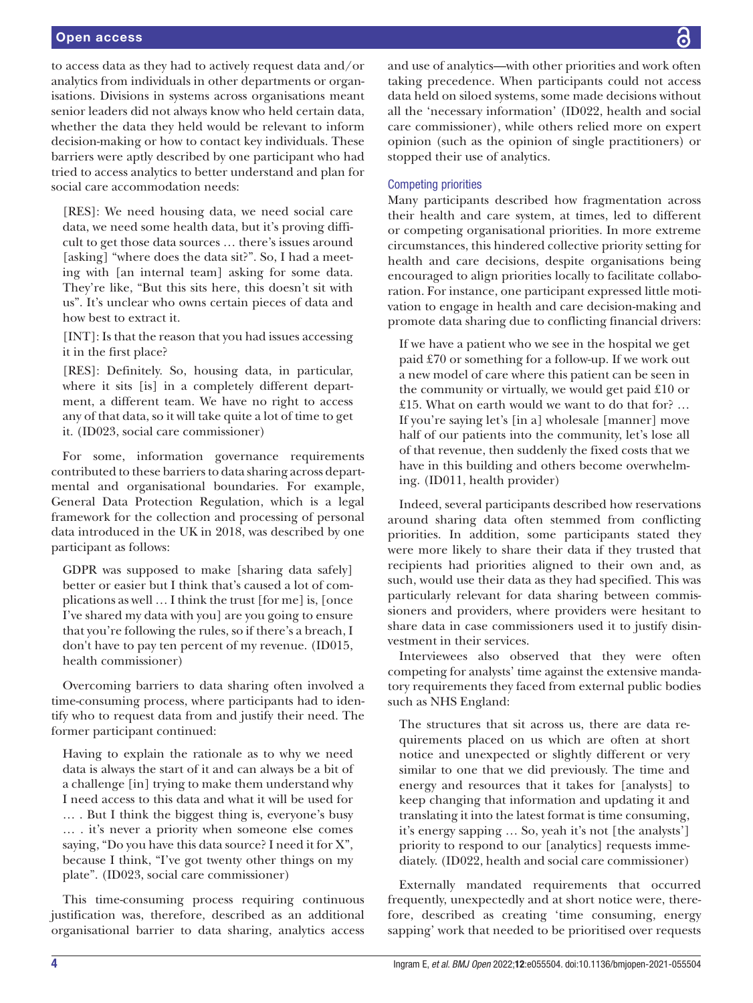to access data as they had to actively request data and/or analytics from individuals in other departments or organisations. Divisions in systems across organisations meant senior leaders did not always know who held certain data, whether the data they held would be relevant to inform decision-making or how to contact key individuals. These barriers were aptly described by one participant who had tried to access analytics to better understand and plan for social care accommodation needs:

[RES]: We need housing data, we need social care data, we need some health data, but it's proving difficult to get those data sources … there's issues around [asking] "where does the data sit?". So, I had a meeting with [an internal team] asking for some data. They're like, "But this sits here, this doesn't sit with us". It's unclear who owns certain pieces of data and how best to extract it.

[INT]: Is that the reason that you had issues accessing it in the first place?

[RES]: Definitely. So, housing data, in particular, where it sits [is] in a completely different department, a different team. We have no right to access any of that data, so it will take quite a lot of time to get it. (ID023, social care commissioner)

For some, information governance requirements contributed to these barriers to data sharing across departmental and organisational boundaries. For example, General Data Protection Regulation, which is a legal framework for the collection and processing of personal data introduced in the UK in 2018, was described by one participant as follows:

GDPR was supposed to make [sharing data safely] better or easier but I think that's caused a lot of complications as well … I think the trust [for me] is, [once I've shared my data with you] are you going to ensure that you're following the rules, so if there's a breach, I don't have to pay ten percent of my revenue. (ID015, health commissioner)

Overcoming barriers to data sharing often involved a time-consuming process, where participants had to identify who to request data from and justify their need. The former participant continued:

Having to explain the rationale as to why we need data is always the start of it and can always be a bit of a challenge [in] trying to make them understand why I need access to this data and what it will be used for … . But I think the biggest thing is, everyone's busy … . it's never a priority when someone else comes saying, "Do you have this data source? I need it for X", because I think, "I've got twenty other things on my plate". (ID023, social care commissioner)

This time-consuming process requiring continuous justification was, therefore, described as an additional organisational barrier to data sharing, analytics access and use of analytics—with other priorities and work often taking precedence. When participants could not access data held on siloed systems, some made decisions without all the 'necessary information' (ID022, health and social care commissioner), while others relied more on expert opinion (such as the opinion of single practitioners) or stopped their use of analytics.

# Competing priorities

Many participants described how fragmentation across their health and care system, at times, led to different or competing organisational priorities. In more extreme circumstances, this hindered collective priority setting for health and care decisions, despite organisations being encouraged to align priorities locally to facilitate collaboration. For instance, one participant expressed little motivation to engage in health and care decision-making and promote data sharing due to conflicting financial drivers:

If we have a patient who we see in the hospital we get paid £70 or something for a follow-up. If we work out a new model of care where this patient can be seen in the community or virtually, we would get paid £10 or £15. What on earth would we want to do that for? … If you're saying let's [in a] wholesale [manner] move half of our patients into the community, let's lose all of that revenue, then suddenly the fixed costs that we have in this building and others become overwhelming. (ID011, health provider)

Indeed, several participants described how reservations around sharing data often stemmed from conflicting priorities. In addition, some participants stated they were more likely to share their data if they trusted that recipients had priorities aligned to their own and, as such, would use their data as they had specified. This was particularly relevant for data sharing between commissioners and providers, where providers were hesitant to share data in case commissioners used it to justify disinvestment in their services.

Interviewees also observed that they were often competing for analysts' time against the extensive mandatory requirements they faced from external public bodies such as NHS England:

The structures that sit across us, there are data requirements placed on us which are often at short notice and unexpected or slightly different or very similar to one that we did previously. The time and energy and resources that it takes for [analysts] to keep changing that information and updating it and translating it into the latest format is time consuming, it's energy sapping … So, yeah it's not [the analysts'] priority to respond to our [analytics] requests immediately. (ID022, health and social care commissioner)

Externally mandated requirements that occurred frequently, unexpectedly and at short notice were, therefore, described as creating 'time consuming, energy sapping' work that needed to be prioritised over requests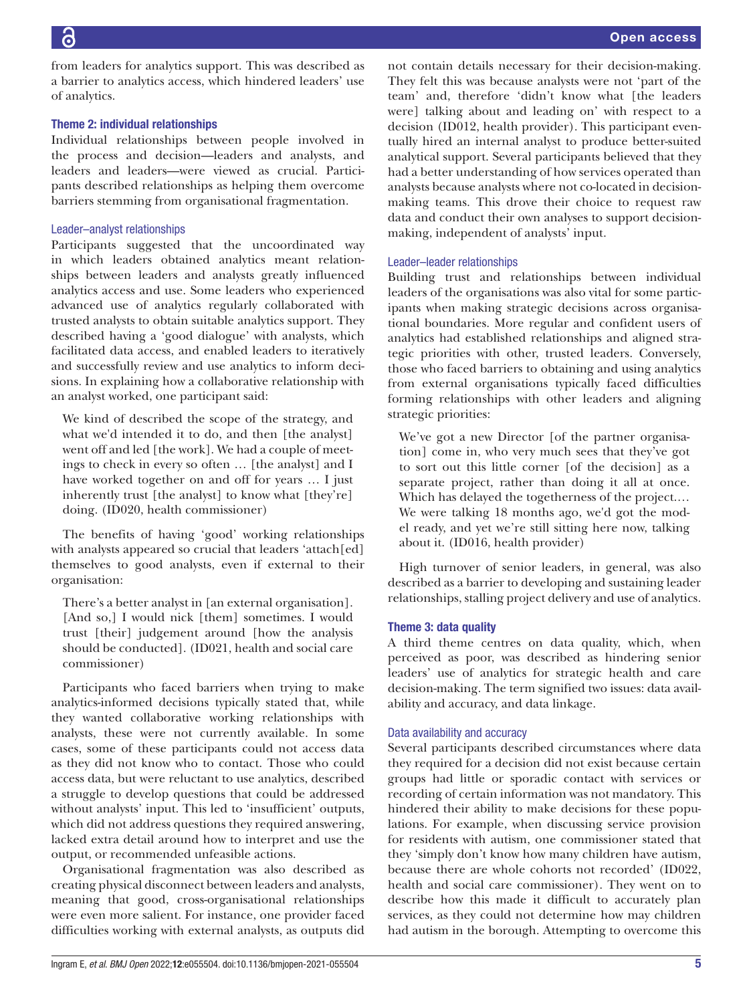from leaders for analytics support. This was described as a barrier to analytics access, which hindered leaders' use of analytics.

# Theme 2: individual relationships

Individual relationships between people involved in the process and decision—leaders and analysts, and leaders and leaders—were viewed as crucial. Participants described relationships as helping them overcome barriers stemming from organisational fragmentation.

# Leader–analyst relationships

Participants suggested that the uncoordinated way in which leaders obtained analytics meant relationships between leaders and analysts greatly influenced analytics access and use. Some leaders who experienced advanced use of analytics regularly collaborated with trusted analysts to obtain suitable analytics support. They described having a 'good dialogue' with analysts, which facilitated data access, and enabled leaders to iteratively and successfully review and use analytics to inform decisions. In explaining how a collaborative relationship with an analyst worked, one participant said:

We kind of described the scope of the strategy, and what we'd intended it to do, and then [the analyst] went off and led [the work]. We had a couple of meetings to check in every so often … [the analyst] and I have worked together on and off for years … I just inherently trust [the analyst] to know what [they're] doing. (ID020, health commissioner)

The benefits of having 'good' working relationships with analysts appeared so crucial that leaders 'attach[ed] themselves to good analysts, even if external to their organisation:

There's a better analyst in [an external organisation]. [And so,] I would nick [them] sometimes. I would trust [their] judgement around [how the analysis should be conducted]. (ID021, health and social care commissioner)

Participants who faced barriers when trying to make analytics-informed decisions typically stated that, while they wanted collaborative working relationships with analysts, these were not currently available. In some cases, some of these participants could not access data as they did not know who to contact. Those who could access data, but were reluctant to use analytics, described a struggle to develop questions that could be addressed without analysts' input. This led to 'insufficient' outputs, which did not address questions they required answering, lacked extra detail around how to interpret and use the output, or recommended unfeasible actions.

Organisational fragmentation was also described as creating physical disconnect between leaders and analysts, meaning that good, cross-organisational relationships were even more salient. For instance, one provider faced difficulties working with external analysts, as outputs did

not contain details necessary for their decision-making. They felt this was because analysts were not 'part of the team' and, therefore 'didn't know what [the leaders were] talking about and leading on' with respect to a decision (ID012, health provider). This participant eventually hired an internal analyst to produce better-suited analytical support. Several participants believed that they had a better understanding of how services operated than analysts because analysts where not co-located in decisionmaking teams. This drove their choice to request raw data and conduct their own analyses to support decisionmaking, independent of analysts' input.

# Leader–leader relationships

Building trust and relationships between individual leaders of the organisations was also vital for some participants when making strategic decisions across organisational boundaries. More regular and confident users of analytics had established relationships and aligned strategic priorities with other, trusted leaders. Conversely, those who faced barriers to obtaining and using analytics from external organisations typically faced difficulties forming relationships with other leaders and aligning strategic priorities:

We've got a new Director [of the partner organisation] come in, who very much sees that they've got to sort out this little corner [of the decision] as a separate project, rather than doing it all at once. Which has delayed the togetherness of the project.… We were talking 18 months ago, we'd got the model ready, and yet we're still sitting here now, talking about it. (ID016, health provider)

High turnover of senior leaders, in general, was also described as a barrier to developing and sustaining leader relationships, stalling project delivery and use of analytics.

# Theme 3: data quality

A third theme centres on data quality, which, when perceived as poor, was described as hindering senior leaders' use of analytics for strategic health and care decision-making. The term signified two issues: data availability and accuracy, and data linkage.

# Data availability and accuracy

Several participants described circumstances where data they required for a decision did not exist because certain groups had little or sporadic contact with services or recording of certain information was not mandatory. This hindered their ability to make decisions for these populations. For example, when discussing service provision for residents with autism, one commissioner stated that they 'simply don't know how many children have autism, because there are whole cohorts not recorded' (ID022, health and social care commissioner). They went on to describe how this made it difficult to accurately plan services, as they could not determine how may children had autism in the borough. Attempting to overcome this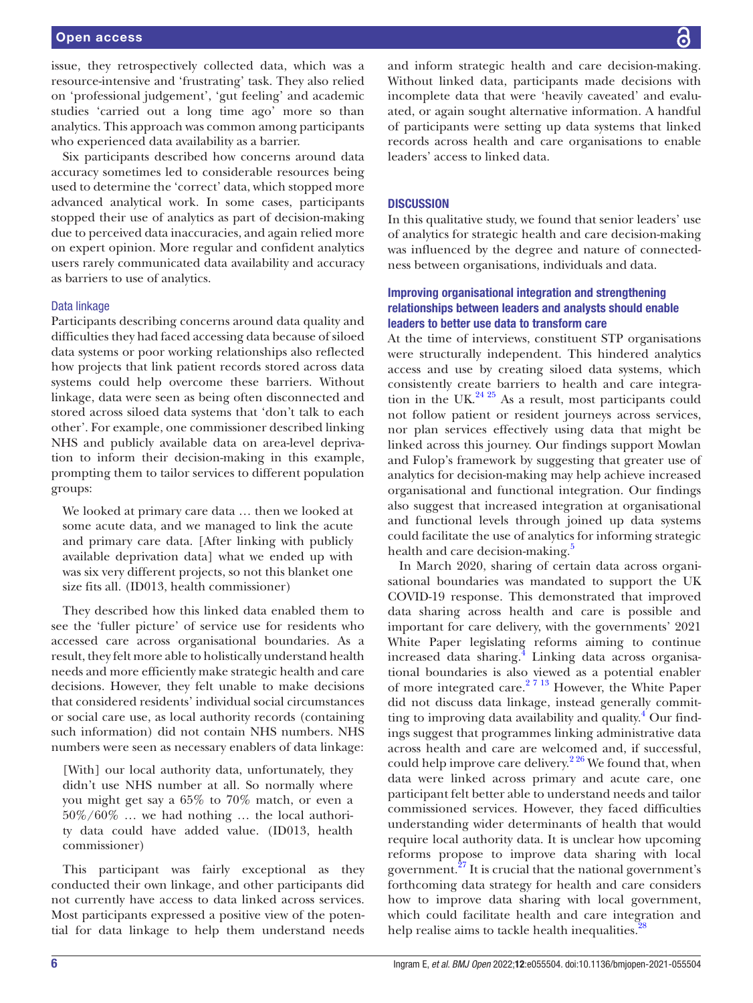issue, they retrospectively collected data, which was a resource-intensive and 'frustrating' task. They also relied on 'professional judgement', 'gut feeling' and academic studies 'carried out a long time ago' more so than analytics. This approach was common among participants who experienced data availability as a barrier.

Six participants described how concerns around data accuracy sometimes led to considerable resources being used to determine the 'correct' data, which stopped more advanced analytical work. In some cases, participants stopped their use of analytics as part of decision-making due to perceived data inaccuracies, and again relied more on expert opinion. More regular and confident analytics users rarely communicated data availability and accuracy as barriers to use of analytics.

# Data linkage

Participants describing concerns around data quality and difficulties they had faced accessing data because of siloed data systems or poor working relationships also reflected how projects that link patient records stored across data systems could help overcome these barriers. Without linkage, data were seen as being often disconnected and stored across siloed data systems that 'don't talk to each other'. For example, one commissioner described linking NHS and publicly available data on area-level deprivation to inform their decision-making in this example, prompting them to tailor services to different population groups:

We looked at primary care data … then we looked at some acute data, and we managed to link the acute and primary care data. [After linking with publicly available deprivation data] what we ended up with was six very different projects, so not this blanket one size fits all. (ID013, health commissioner)

They described how this linked data enabled them to see the 'fuller picture' of service use for residents who accessed care across organisational boundaries. As a result, they felt more able to holistically understand health needs and more efficiently make strategic health and care decisions. However, they felt unable to make decisions that considered residents' individual social circumstances or social care use, as local authority records (containing such information) did not contain NHS numbers. NHS numbers were seen as necessary enablers of data linkage:

[With] our local authority data, unfortunately, they didn't use NHS number at all. So normally where you might get say a 65% to 70% match, or even a 50%/60% … we had nothing … the local authority data could have added value. (ID013, health commissioner)

This participant was fairly exceptional as they conducted their own linkage, and other participants did not currently have access to data linked across services. Most participants expressed a positive view of the potential for data linkage to help them understand needs

and inform strategic health and care decision-making. Without linked data, participants made decisions with incomplete data that were 'heavily caveated' and evaluated, or again sought alternative information. A handful of participants were setting up data systems that linked records across health and care organisations to enable leaders' access to linked data.

# **DISCUSSION**

In this qualitative study, we found that senior leaders' use of analytics for strategic health and care decision-making was influenced by the degree and nature of connectedness between organisations, individuals and data.

# Improving organisational integration and strengthening relationships between leaders and analysts should enable leaders to better use data to transform care

At the time of interviews, constituent STP organisations were structurally independent. This hindered analytics access and use by creating siloed data systems, which consistently create barriers to health and care integration in the UK. $^{24}$  <sup>25</sup> As a result, most participants could not follow patient or resident journeys across services, nor plan services effectively using data that might be linked across this journey. Our findings support Mowlan and Fulop's framework by suggesting that greater use of analytics for decision-making may help achieve increased organisational and functional integration. Our findings also suggest that increased integration at organisational and functional levels through joined up data systems could facilitate the use of analytics for informing strategic health and care decision-making.<sup>[5](#page-7-2)</sup>

In March 2020, sharing of certain data across organisational boundaries was mandated to support the UK COVID-19 response. This demonstrated that improved data sharing across health and care is possible and important for care delivery, with the governments' 2021 White Paper legislating reforms aiming to continue increased data sharing.<sup>[4](#page-7-1)</sup> Linking data across organisational boundaries is also viewed as a potential enabler of more integrated care.<sup>27 13</sup> However, the White Paper did not discuss data linkage, instead generally committing to improving data availability and quality.<sup>4</sup> Our findings suggest that programmes linking administrative data across health and care are welcomed and, if successful, could help improve care delivery.<sup>226</sup> We found that, when data were linked across primary and acute care, one participant felt better able to understand needs and tailor commissioned services. However, they faced difficulties understanding wider determinants of health that would require local authority data. It is unclear how upcoming reforms propose to improve data sharing with local government.<sup>27</sup> It is crucial that the national government's forthcoming data strategy for health and care considers how to improve data sharing with local government, which could facilitate health and care integration and help realise aims to tackle health inequalities.<sup>[28](#page-7-16)</sup>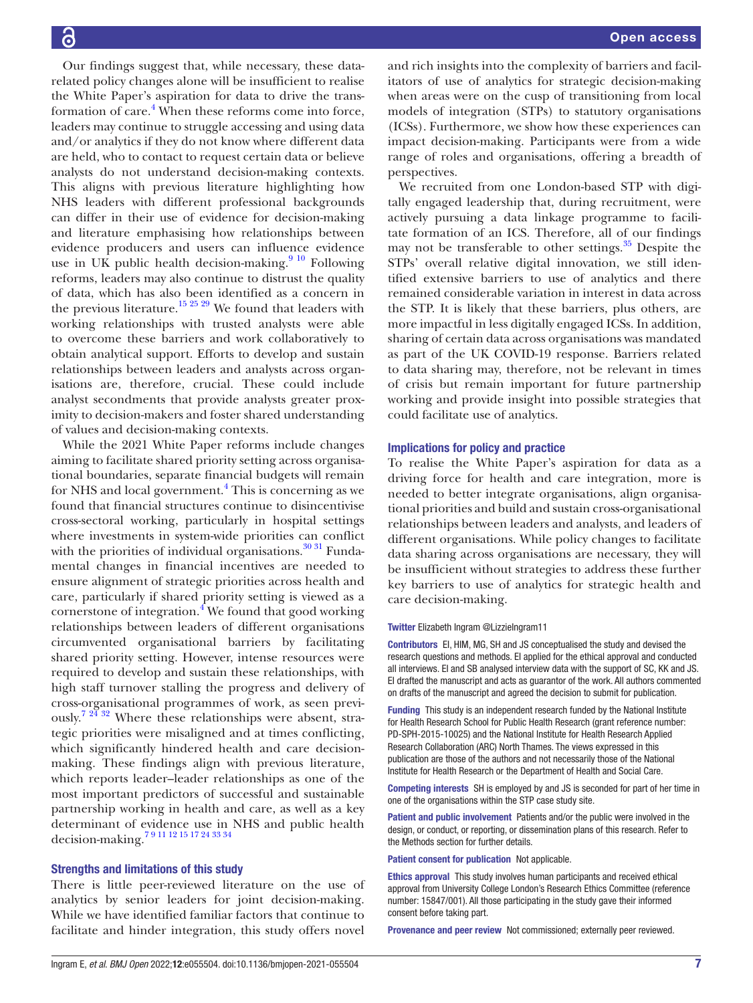Our findings suggest that, while necessary, these datarelated policy changes alone will be insufficient to realise the White Paper's aspiration for data to drive the trans-formation of care.<sup>[4](#page-7-1)</sup> When these reforms come into force, leaders may continue to struggle accessing and using data and/or analytics if they do not know where different data are held, who to contact to request certain data or believe analysts do not understand decision-making contexts. This aligns with previous literature highlighting how NHS leaders with different professional backgrounds can differ in their use of evidence for decision-making and literature emphasising how relationships between evidence producers and users can influence evidence use in UK public health decision-making.<sup>9 10</sup> Following reforms, leaders may also continue to distrust the quality of data, which has also been identified as a concern in the previous literature.<sup>15 25</sup> 29 We found that leaders with working relationships with trusted analysts were able to overcome these barriers and work collaboratively to obtain analytical support. Efforts to develop and sustain relationships between leaders and analysts across organisations are, therefore, crucial. These could include analyst secondments that provide analysts greater proximity to decision-makers and foster shared understanding of values and decision-making contexts.

While the 2021 White Paper reforms include changes aiming to facilitate shared priority setting across organisational boundaries, separate financial budgets will remain for NHS and local government.<sup>[4](#page-7-1)</sup> This is concerning as we found that financial structures continue to disincentivise cross-sectoral working, particularly in hospital settings where investments in system-wide priorities can conflict with the priorities of individual organisations.<sup>[30 31](#page-7-18)</sup> Fundamental changes in financial incentives are needed to ensure alignment of strategic priorities across health and care, particularly if shared priority setting is viewed as a cornerstone of integration. $4$  We found that good working relationships between leaders of different organisations circumvented organisational barriers by facilitating shared priority setting. However, intense resources were required to develop and sustain these relationships, with high staff turnover stalling the progress and delivery of cross-organisational programmes of work, as seen previ-ously.<sup>[7 24 32](#page-7-19)</sup> Where these relationships were absent, strategic priorities were misaligned and at times conflicting, which significantly hindered health and care decisionmaking. These findings align with previous literature, which reports leader–leader relationships as one of the most important predictors of successful and sustainable partnership working in health and care, as well as a key determinant of evidence use in NHS and public health decision-making[.7 9 11 12 15 17 24 33 34](#page-7-19)

## Strengths and limitations of this study

There is little peer-reviewed literature on the use of analytics by senior leaders for joint decision-making. While we have identified familiar factors that continue to facilitate and hinder integration, this study offers novel

and rich insights into the complexity of barriers and facilitators of use of analytics for strategic decision-making when areas were on the cusp of transitioning from local models of integration (STPs) to statutory organisations (ICSs). Furthermore, we show how these experiences can impact decision-making. Participants were from a wide range of roles and organisations, offering a breadth of perspectives.

We recruited from one London-based STP with digitally engaged leadership that, during recruitment, were actively pursuing a data linkage programme to facilitate formation of an ICS. Therefore, all of our findings may not be transferable to other settings. $35$  Despite the STPs' overall relative digital innovation, we still identified extensive barriers to use of analytics and there remained considerable variation in interest in data across the STP. It is likely that these barriers, plus others, are more impactful in less digitally engaged ICSs. In addition, sharing of certain data across organisations was mandated as part of the UK COVID-19 response. Barriers related to data sharing may, therefore, not be relevant in times of crisis but remain important for future partnership working and provide insight into possible strategies that could facilitate use of analytics.

#### Implications for policy and practice

To realise the White Paper's aspiration for data as a driving force for health and care integration, more is needed to better integrate organisations, align organisational priorities and build and sustain cross-organisational relationships between leaders and analysts, and leaders of different organisations. While policy changes to facilitate data sharing across organisations are necessary, they will be insufficient without strategies to address these further key barriers to use of analytics for strategic health and care decision-making.

#### Twitter Elizabeth Ingram [@LizzieIngram11](https://twitter.com/LizzieIngram11)

Contributors EI, HIM, MG, SH and JS conceptualised the study and devised the research questions and methods. EI applied for the ethical approval and conducted all interviews. EI and SB analysed interview data with the support of SC, KK and JS. EI drafted the manuscript and acts as guarantor of the work. All authors commented on drafts of the manuscript and agreed the decision to submit for publication.

Funding This study is an independent research funded by the National Institute for Health Research School for Public Health Research (grant reference number: PD-SPH-2015-10025) and the National Institute for Health Research Applied Research Collaboration (ARC) North Thames. The views expressed in this publication are those of the authors and not necessarily those of the National Institute for Health Research or the Department of Health and Social Care.

Competing interests SH is employed by and JS is seconded for part of her time in one of the organisations within the STP case study site.

Patient and public involvement Patients and/or the public were involved in the design, or conduct, or reporting, or dissemination plans of this research. Refer to the Methods section for further details.

Patient consent for publication Not applicable.

Ethics approval This study involves human participants and received ethical approval from University College London's Research Ethics Committee (reference number: 15847/001). All those participating in the study gave their informed consent before taking part.

Provenance and peer review Not commissioned; externally peer reviewed.